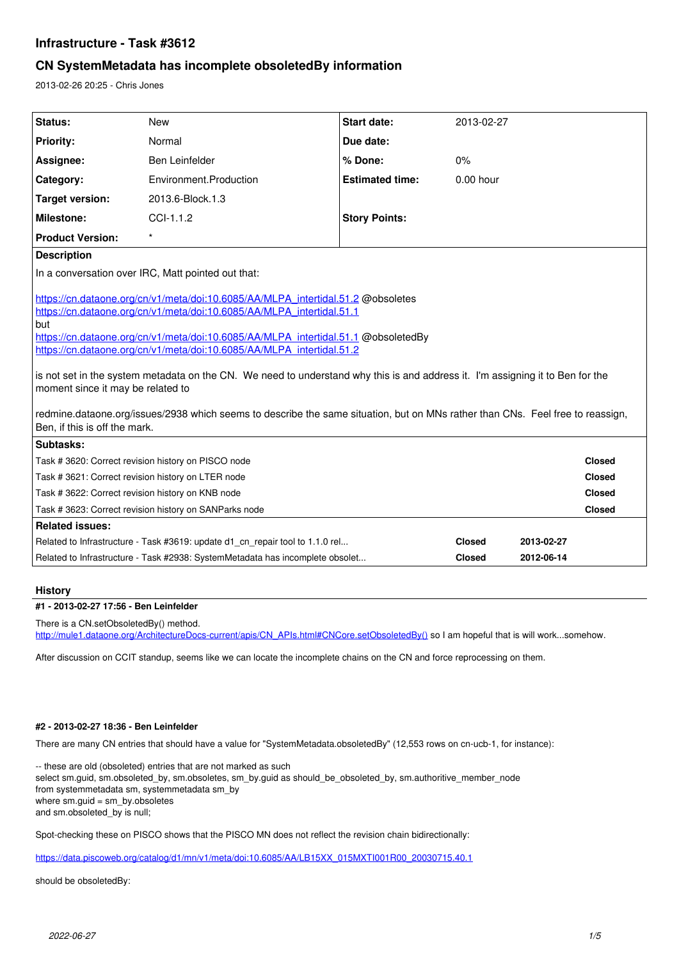# **Infrastructure - Task #3612**

## **CN SystemMetadata has incomplete obsoletedBy information**

2013-02-26 20:25 - Chris Jones

| Status:                                                                                                                                                                                                                                                                                                                                                                                                                                                                                                                                                                                                                                                                   | <b>New</b>                                                                    | Start date:            | 2013-02-27    |            |               |
|---------------------------------------------------------------------------------------------------------------------------------------------------------------------------------------------------------------------------------------------------------------------------------------------------------------------------------------------------------------------------------------------------------------------------------------------------------------------------------------------------------------------------------------------------------------------------------------------------------------------------------------------------------------------------|-------------------------------------------------------------------------------|------------------------|---------------|------------|---------------|
| <b>Priority:</b>                                                                                                                                                                                                                                                                                                                                                                                                                                                                                                                                                                                                                                                          | Normal                                                                        | Due date:              |               |            |               |
| Assignee:                                                                                                                                                                                                                                                                                                                                                                                                                                                                                                                                                                                                                                                                 | Ben Leinfelder                                                                | % Done:                | 0%            |            |               |
| Category:                                                                                                                                                                                                                                                                                                                                                                                                                                                                                                                                                                                                                                                                 | Environment.Production                                                        | <b>Estimated time:</b> | $0.00$ hour   |            |               |
| <b>Target version:</b>                                                                                                                                                                                                                                                                                                                                                                                                                                                                                                                                                                                                                                                    | 2013.6-Block.1.3                                                              |                        |               |            |               |
| Milestone:                                                                                                                                                                                                                                                                                                                                                                                                                                                                                                                                                                                                                                                                | $CCL-1.1.2$                                                                   | <b>Story Points:</b>   |               |            |               |
| <b>Product Version:</b>                                                                                                                                                                                                                                                                                                                                                                                                                                                                                                                                                                                                                                                   | $\star$                                                                       |                        |               |            |               |
| <b>Description</b>                                                                                                                                                                                                                                                                                                                                                                                                                                                                                                                                                                                                                                                        |                                                                               |                        |               |            |               |
| In a conversation over IRC, Matt pointed out that:                                                                                                                                                                                                                                                                                                                                                                                                                                                                                                                                                                                                                        |                                                                               |                        |               |            |               |
| https://cn.dataone.org/cn/v1/meta/doi:10.6085/AA/MLPA_intertidal.51.2 @obsoletes<br>https://cn.dataone.org/cn/v1/meta/doi:10.6085/AA/MLPA_intertidal.51.1<br>but<br>https://cn.dataone.org/cn/v1/meta/doi:10.6085/AA/MLPA_intertidal.51.1 @obsoletedBy<br>https://cn.dataone.org/cn/v1/meta/doi:10.6085/AA/MLPA_intertidal.51.2<br>is not set in the system metadata on the CN. We need to understand why this is and address it. I'm assigning it to Ben for the<br>moment since it may be related to<br>redmine.dataone.org/issues/2938 which seems to describe the same situation, but on MNs rather than CNs. Feel free to reassign,<br>Ben, if this is off the mark. |                                                                               |                        |               |            |               |
| Subtasks:                                                                                                                                                                                                                                                                                                                                                                                                                                                                                                                                                                                                                                                                 |                                                                               |                        |               |            |               |
| Task #3620: Correct revision history on PISCO node                                                                                                                                                                                                                                                                                                                                                                                                                                                                                                                                                                                                                        |                                                                               |                        |               |            | <b>Closed</b> |
| Task # 3621: Correct revision history on LTER node                                                                                                                                                                                                                                                                                                                                                                                                                                                                                                                                                                                                                        |                                                                               |                        |               |            | <b>Closed</b> |
| Task # 3622: Correct revision history on KNB node                                                                                                                                                                                                                                                                                                                                                                                                                                                                                                                                                                                                                         |                                                                               |                        |               |            | <b>Closed</b> |
| Task # 3623: Correct revision history on SANParks node<br>Closed<br><b>Related issues:</b>                                                                                                                                                                                                                                                                                                                                                                                                                                                                                                                                                                                |                                                                               |                        |               |            |               |
|                                                                                                                                                                                                                                                                                                                                                                                                                                                                                                                                                                                                                                                                           |                                                                               |                        |               |            |               |
|                                                                                                                                                                                                                                                                                                                                                                                                                                                                                                                                                                                                                                                                           | Related to Infrastructure - Task #3619: update d1 cn repair tool to 1.1.0 rel |                        | <b>Closed</b> | 2013-02-27 |               |
| Related to Infrastructure - Task #2938: SystemMetadata has incomplete obsolet                                                                                                                                                                                                                                                                                                                                                                                                                                                                                                                                                                                             |                                                                               | <b>Closed</b>          | 2012-06-14    |            |               |

#### **History**

## **#1 - 2013-02-27 17:56 - Ben Leinfelder**

There is a CN.setObsoletedBy() method.

[http://mule1.dataone.org/ArchitectureDocs-current/apis/CN\\_APIs.html#CNCore.setObsoletedBy\(\)](http://mule1.dataone.org/ArchitectureDocs-current/apis/CN_APIs.html#CNCore.setObsoletedBy()) so I am hopeful that is will work...somehow.

After discussion on CCIT standup, seems like we can locate the incomplete chains on the CN and force reprocessing on them.

#### **#2 - 2013-02-27 18:36 - Ben Leinfelder**

There are many CN entries that should have a value for "SystemMetadata.obsoletedBy" (12,553 rows on cn-ucb-1, for instance):

-- these are old (obsoleted) entries that are not marked as such select sm.guid, sm.obsoleted\_by, sm.obsoletes, sm\_by.guid as should\_be\_obsoleted\_by, sm.authoritive\_member\_node from systemmetadata sm, systemmetadata sm\_by where sm.guid = sm\_by.obsoletes and sm.obsoleted\_by is null;

Spot-checking these on PISCO shows that the PISCO MN does not reflect the revision chain bidirectionally:

[https://data.piscoweb.org/catalog/d1/mn/v1/meta/doi:10.6085/AA/LB15XX\\_015MXTI001R00\\_20030715.40.1](https://data.piscoweb.org/catalog/d1/mn/v1/meta/doi:10.6085/AA/LB15XX_015MXTI001R00_20030715.40.1)

should be obsoletedBy: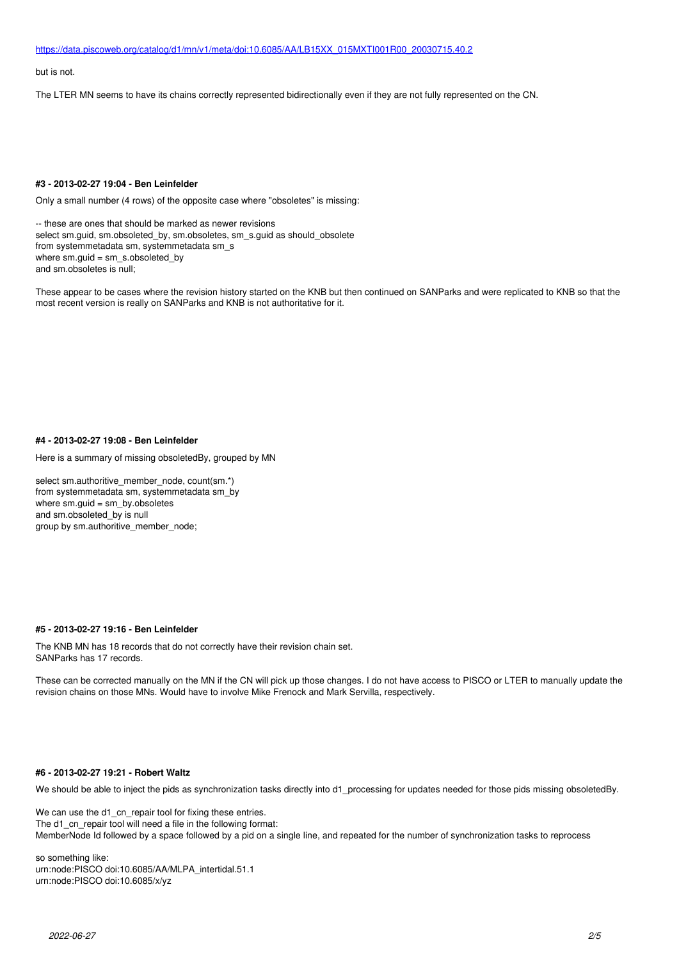[https://data.piscoweb.org/catalog/d1/mn/v1/meta/doi:10.6085/AA/LB15XX\\_015MXTI001R00\\_20030715.40.2](https://data.piscoweb.org/catalog/d1/mn/v1/meta/doi:10.6085/AA/LB15XX_015MXTI001R00_20030715.40.2)

but is not.

The LTER MN seems to have its chains correctly represented bidirectionally even if they are not fully represented on the CN.

## **#3 - 2013-02-27 19:04 - Ben Leinfelder**

Only a small number (4 rows) of the opposite case where "obsoletes" is missing:

-- these are ones that should be marked as newer revisions select sm.guid, sm.obsoleted\_by, sm.obsoletes, sm\_s.guid as should\_obsolete from systemmetadata sm, systemmetadata sm\_s where  $\text{sm.guid} = \text{sm.s.}$  obsoleted\_by and sm.obsoletes is null;

These appear to be cases where the revision history started on the KNB but then continued on SANParks and were replicated to KNB so that the most recent version is really on SANParks and KNB is not authoritative for it.

#### **#4 - 2013-02-27 19:08 - Ben Leinfelder**

Here is a summary of missing obsoletedBy, grouped by MN

select sm.authoritive\_member\_node, count(sm.\*) from systemmetadata sm, systemmetadata sm\_by where sm.guid = sm\_by.obsoletes and sm.obsoleted\_by is null group by sm.authoritive\_member\_node;

#### **#5 - 2013-02-27 19:16 - Ben Leinfelder**

The KNB MN has 18 records that do not correctly have their revision chain set. SANParks has 17 records.

These can be corrected manually on the MN if the CN will pick up those changes. I do not have access to PISCO or LTER to manually update the revision chains on those MNs. Would have to involve Mike Frenock and Mark Servilla, respectively.

#### **#6 - 2013-02-27 19:21 - Robert Waltz**

We should be able to inject the pids as synchronization tasks directly into d1\_processing for updates needed for those pids missing obsoletedBy.

We can use the d1\_cn\_repair tool for fixing these entries. The d1\_cn\_repair tool will need a file in the following format: MemberNode Id followed by a space followed by a pid on a single line, and repeated for the number of synchronization tasks to reprocess

so something like: urn:node:PISCO doi:10.6085/AA/MLPA\_intertidal.51.1 urn:node:PISCO doi:10.6085/x/yz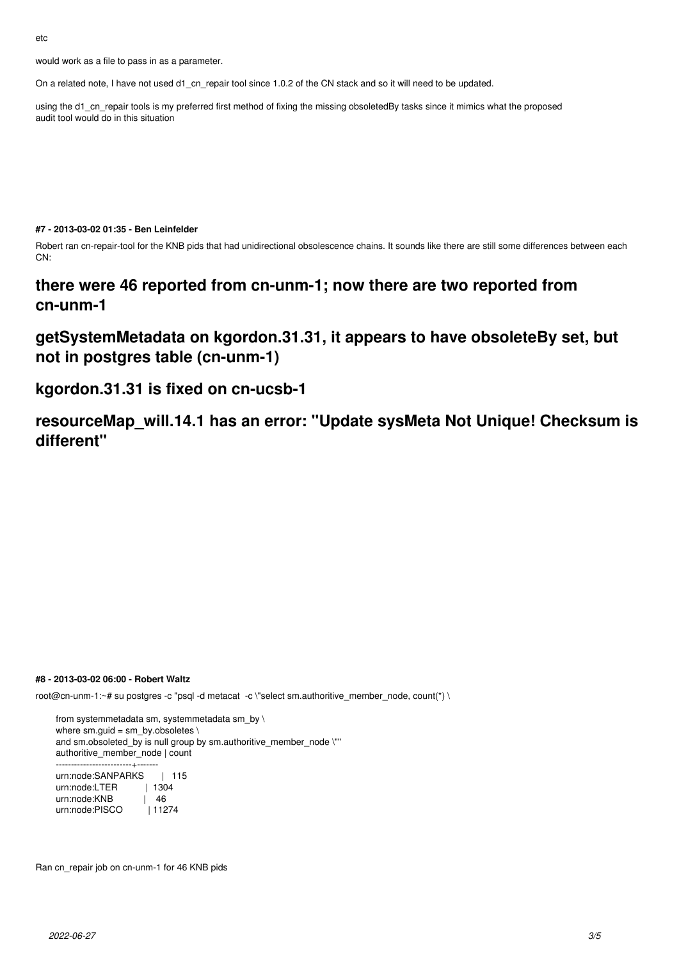would work as a file to pass in as a parameter.

On a related note, I have not used d1 cn repair tool since 1.0.2 of the CN stack and so it will need to be updated.

using the d1\_cn\_repair tools is my preferred first method of fixing the missing obsoletedBy tasks since it mimics what the proposed audit tool would do in this situation

#### **#7 - 2013-03-02 01:35 - Ben Leinfelder**

Robert ran cn-repair-tool for the KNB pids that had unidirectional obsolescence chains. It sounds like there are still some differences between each CN:

# **there were 46 reported from cn-unm-1; now there are two reported from cn-unm-1**

# **getSystemMetadata on kgordon.31.31, it appears to have obsoleteBy set, but not in postgres table (cn-unm-1)**

# **kgordon.31.31 is fixed on cn-ucsb-1**

**resourceMap\_will.14.1 has an error: "Update sysMeta Not Unique! Checksum is different"**

## **#8 - 2013-03-02 06:00 - Robert Waltz**

root@cn-unm-1:~# su postgres -c "psql -d metacat -c \"select sm.authoritive\_member\_node, count(\*) \

from systemmetadata sm, systemmetadata sm\_by \ where sm.guid = sm\_by.obsoletes  $\setminus$ and sm.obsoleted\_by is null group by sm.authoritive\_member\_node \"" authoritive\_member\_node | count -------------------------+------ urn:node:SANPARKS | 115<br>urn:node:LTER | 1304 urn:node:LTER urn:node:KNB | 46 urn:node:PISCO | 11274

Ran cn\_repair job on cn-unm-1 for 46 KNB pids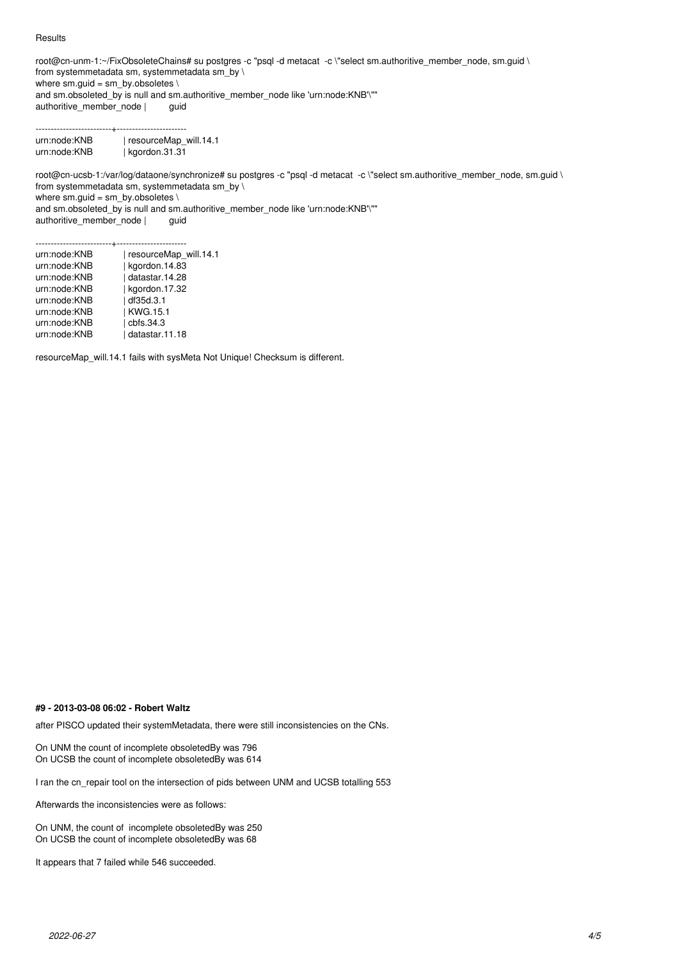#### **Results**

root@cn-unm-1:~/FixObsoleteChains# su postgres -c "psql -d metacat -c \"select sm.authoritive\_member\_node, sm.guid \ from systemmetadata sm, systemmetadata sm\_by \ where sm.guid = sm\_by.obsoletes \ and sm.obsoleted\_by is null and sm.authoritive\_member\_node like 'urn:node:KNB'\""<br>authoritive\_member\_node | guid authoritive\_member\_node |

-------------------------+---------------------- urn:node:KNB | resourceMap\_will.14.1 urn:node:KNB | kgordon.31.31

root@cn-ucsb-1:/var/log/dataone/synchronize# su postgres -c "psql -d metacat -c \"select sm.authoritive\_member\_node, sm.guid \ from systemmetadata sm, systemmetadata sm\_by \ where  $sm.guid = sm_by.obsoletes \setminus$ and sm.obsoleted\_by is null and sm.authoritive\_member\_node like 'urn:node:KNB'\"" authoritive\_member\_node | guid

-------------------------+---------------------- urn:node:KNB | resourceMap\_will.14.1 urn:node:KNB | kgordon.14.83 urn:node:KNB | datastar.14.28 urn:node:KNB | kgordon.17.32 urn:node:KNB | df35d.3.1<br>urn:node:KNB | KWG.15.1 urn:node:KNB urn:node:KNB | cbfs.34.3<br>urn:node:KNB | datastar.1 | datastar.11.18

resourceMap\_will.14.1 fails with sysMeta Not Unique! Checksum is different.

#### **#9 - 2013-03-08 06:02 - Robert Waltz**

after PISCO updated their systemMetadata, there were still inconsistencies on the CNs.

On UNM the count of incomplete obsoletedBy was 796 On UCSB the count of incomplete obsoletedBy was 614

I ran the cn\_repair tool on the intersection of pids between UNM and UCSB totalling 553

Afterwards the inconsistencies were as follows:

On UNM, the count of incomplete obsoletedBy was 250 On UCSB the count of incomplete obsoletedBy was 68

It appears that 7 failed while 546 succeeded.